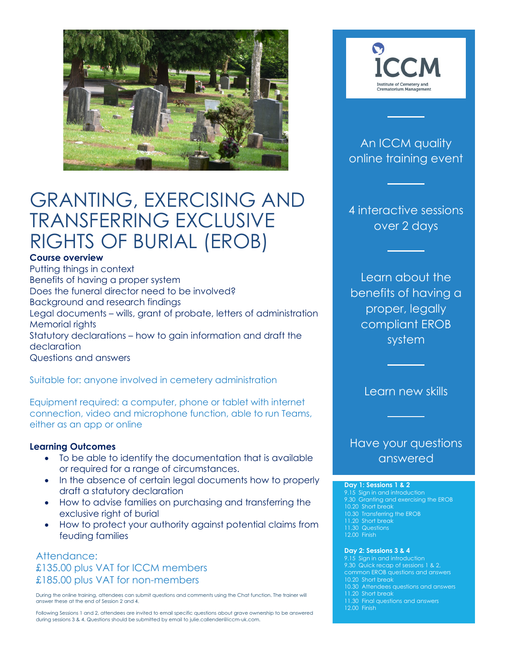

# GRANTING, EXERCISING AND TRANSFERRING EXCLUSIVE RIGHTS OF BURIAL (EROB)

### **Course overview**

Putting things in context Benefits of having a proper system Does the funeral director need to be involved? Background and research findings Legal documents – wills, grant of probate, letters of administration Memorial rights Statutory declarations – how to gain information and draft the declaration Questions and answers

Suitable for: anyone involved in cemetery administration

Equipment required: a computer, phone or tablet with internet connection, video and microphone function, able to run Teams, either as an app or online

### **Learning Outcomes**

- To be able to identify the documentation that is available or required for a range of circumstances.
- In the absence of certain legal documents how to properly draft a statutory declaration
- How to advise families on purchasing and transferring the exclusive right of burial
- How to protect your authority against potential claims from feuding families

### Attendance: £135.00 plus VAT for ICCM members £185.00 plus VAT for non-members

 During the online training, attendees can submit questions and comments using the Chat function. The trainer will answer these at the end of Session 2 and 4.

Following Sessions 1 and 2, attendees are invited to email specific questions about grave ownership to be answered during sessions 3 & 4. Questions should be submitted by email to julie.callender@iccm-uk.com.



# An ICCM quality online training event

4 interactive sessions over 2 days

Learn about the benefits of having a proper, legally compliant EROB system

Learn new skills

# Have your questions answered

#### **Day 1: Sessions 1 & 2**

9.15 Sign in and introduction 9.30 Granting and exercising the EROB 10.30 Transferring the EROB 11.20 Short break 12.00 Finish

#### **Day 2: Sessions 3 & 4**

9.15 Sign in and introduction common EROB questions and answers 10.20 Short break 10.30 Attendees questions and answers 11.30 Final questions and answers 12.00 Finish